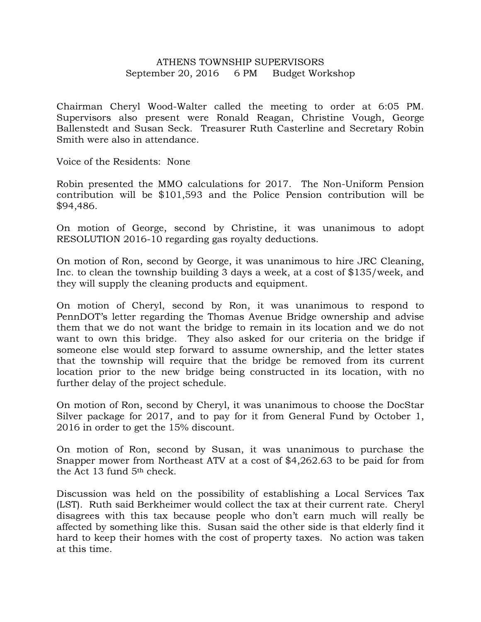## ATHENS TOWNSHIP SUPERVISORS September 20, 2016 6 PM Budget Workshop

Chairman Cheryl Wood-Walter called the meeting to order at 6:05 PM. Supervisors also present were Ronald Reagan, Christine Vough, George Ballenstedt and Susan Seck. Treasurer Ruth Casterline and Secretary Robin Smith were also in attendance.

Voice of the Residents: None

Robin presented the MMO calculations for 2017. The Non-Uniform Pension contribution will be \$101,593 and the Police Pension contribution will be \$94,486.

On motion of George, second by Christine, it was unanimous to adopt RESOLUTION 2016-10 regarding gas royalty deductions.

On motion of Ron, second by George, it was unanimous to hire JRC Cleaning, Inc. to clean the township building 3 days a week, at a cost of \$135/week, and they will supply the cleaning products and equipment.

On motion of Cheryl, second by Ron, it was unanimous to respond to PennDOT's letter regarding the Thomas Avenue Bridge ownership and advise them that we do not want the bridge to remain in its location and we do not want to own this bridge. They also asked for our criteria on the bridge if someone else would step forward to assume ownership, and the letter states that the township will require that the bridge be removed from its current location prior to the new bridge being constructed in its location, with no further delay of the project schedule.

On motion of Ron, second by Cheryl, it was unanimous to choose the DocStar Silver package for 2017, and to pay for it from General Fund by October 1, 2016 in order to get the 15% discount.

On motion of Ron, second by Susan, it was unanimous to purchase the Snapper mower from Northeast ATV at a cost of \$4,262.63 to be paid for from the Act 13 fund 5th check.

Discussion was held on the possibility of establishing a Local Services Tax (LST). Ruth said Berkheimer would collect the tax at their current rate. Cheryl disagrees with this tax because people who don't earn much will really be affected by something like this. Susan said the other side is that elderly find it hard to keep their homes with the cost of property taxes. No action was taken at this time.